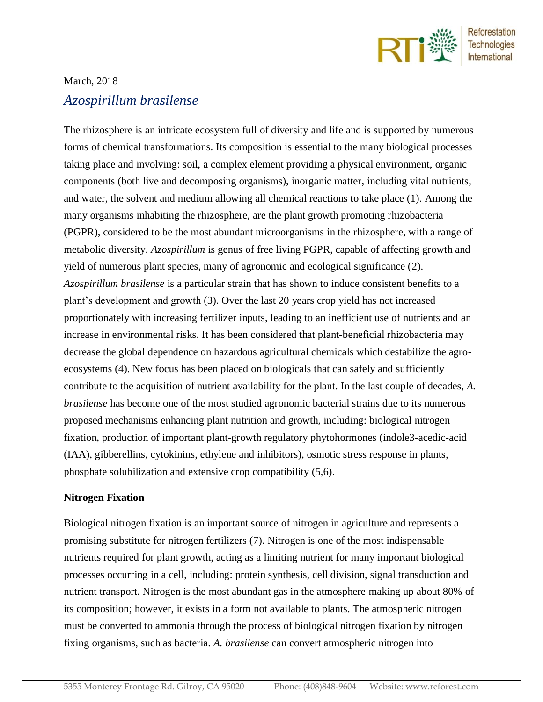

# March, 2018 *Azospirillum brasilense*

The rhizosphere is an intricate ecosystem full of diversity and life and is supported by numerous forms of chemical transformations. Its composition is essential to the many biological processes taking place and involving: soil, a complex element providing a physical environment, organic components (both live and decomposing organisms), inorganic matter, including vital nutrients, and water, the solvent and medium allowing all chemical reactions to take place (1). Among the many organisms inhabiting the rhizosphere, are the plant growth promoting rhizobacteria (PGPR), considered to be the most abundant microorganisms in the rhizosphere, with a range of metabolic diversity. *Azospirillum* is genus of free living PGPR, capable of affecting growth and yield of numerous plant species, many of agronomic and ecological significance (2). *Azospirillum brasilense* is a particular strain that has shown to induce consistent benefits to a plant's development and growth (3). Over the last 20 years crop yield has not increased proportionately with increasing fertilizer inputs, leading to an inefficient use of nutrients and an increase in environmental risks. It has been considered that plant-beneficial rhizobacteria may decrease the global dependence on hazardous agricultural chemicals which destabilize the agroecosystems (4). New focus has been placed on biologicals that can safely and sufficiently contribute to the acquisition of nutrient availability for the plant. In the last couple of decades, *A. brasilense* has become one of the most studied agronomic bacterial strains due to its numerous proposed mechanisms enhancing plant nutrition and growth, including: biological nitrogen fixation, production of important plant-growth regulatory phytohormones (indole3-acedic-acid (IAA), gibberellins, cytokinins, ethylene and inhibitors), osmotic stress response in plants, phosphate solubilization and extensive crop compatibility (5,6).

## **Nitrogen Fixation**

Biological nitrogen fixation is an important source of nitrogen in agriculture and represents a promising substitute for nitrogen fertilizers (7). Nitrogen is one of the most indispensable nutrients required for plant growth, acting as a limiting nutrient for many important biological processes occurring in a cell, including: protein synthesis, cell division, signal transduction and nutrient transport. Nitrogen is the most abundant gas in the atmosphere making up about 80% of its composition; however, it exists in a form not available to plants. The atmospheric nitrogen must be converted to ammonia through the process of biological nitrogen fixation by nitrogen fixing organisms, such as bacteria. *A. brasilense* can convert atmospheric nitrogen into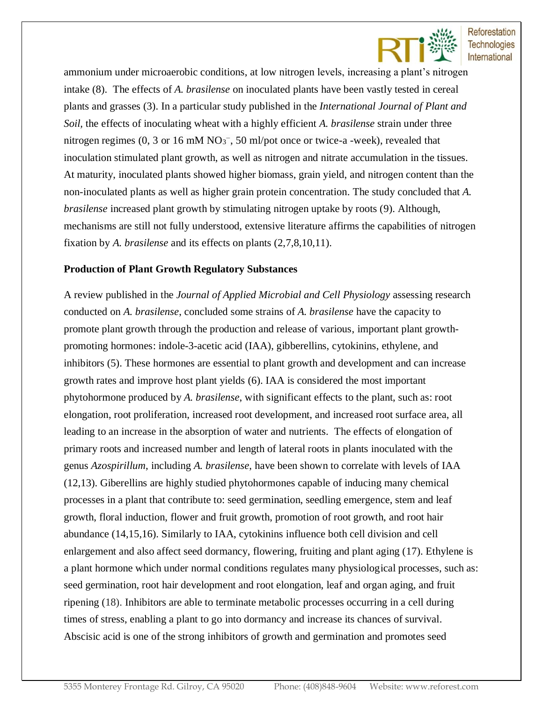

ammonium under microaerobic conditions, at low nitrogen levels, increasing a plant's nitrogen intake (8). The effects of *A. brasilense* on inoculated plants have been vastly tested in cereal plants and grasses (3). In a particular study published in the *International Journal of Plant and Soil,* the effects of inoculating wheat with a highly efficient *A. brasilense* strain under three nitrogen regimes  $(0, 3 \text{ or } 16 \text{ mM NO}_3^-$ , 50 ml/pot once or twice-a -week), revealed that inoculation stimulated plant growth, as well as nitrogen and nitrate accumulation in the tissues. At maturity, inoculated plants showed higher biomass, grain yield, and nitrogen content than the non-inoculated plants as well as higher grain protein concentration. The study concluded that *A. brasilense* increased plant growth by stimulating nitrogen uptake by roots (9). Although, mechanisms are still not fully understood, extensive literature affirms the capabilities of nitrogen fixation by *A. brasilense* and its effects on plants (2,7,8,10,11).

#### **Production of Plant Growth Regulatory Substances**

A review published in the *Journal of Applied Microbial and Cell Physiology* assessing research conducted on *A. brasilense*, concluded some strains of *A. brasilense* have the capacity to promote plant growth through the production and release of various, important plant growthpromoting hormones: indole-3-acetic acid (IAA), gibberellins, cytokinins, ethylene, and inhibitors (5). These hormones are essential to plant growth and development and can increase growth rates and improve host plant yields (6). IAA is considered the most important phytohormone produced by *A. brasilense*, with significant effects to the plant, such as: root elongation, root proliferation, increased root development, and increased root surface area, all leading to an increase in the absorption of water and nutrients. The effects of elongation of primary roots and increased number and length of lateral roots in plants inoculated with the genus *Azospirillum*, including *A. brasilense*, have been shown to correlate with levels of IAA (12,13). Giberellins are highly studied phytohormones capable of inducing many chemical processes in a plant that contribute to: seed germination, seedling emergence, stem and leaf growth, floral induction, flower and fruit growth, promotion of root growth, and root hair abundance (14,15,16). Similarly to IAA, cytokinins influence both cell division and cell enlargement and also affect seed dormancy, flowering, fruiting and plant aging (17). Ethylene is a plant hormone which under normal conditions regulates many physiological processes, such as: seed germination, root hair development and root elongation, leaf and organ aging, and fruit ripening (18). Inhibitors are able to terminate metabolic processes occurring in a cell during times of stress, enabling a plant to go into dormancy and increase its chances of survival. Abscisic acid is one of the strong inhibitors of growth and germination and promotes seed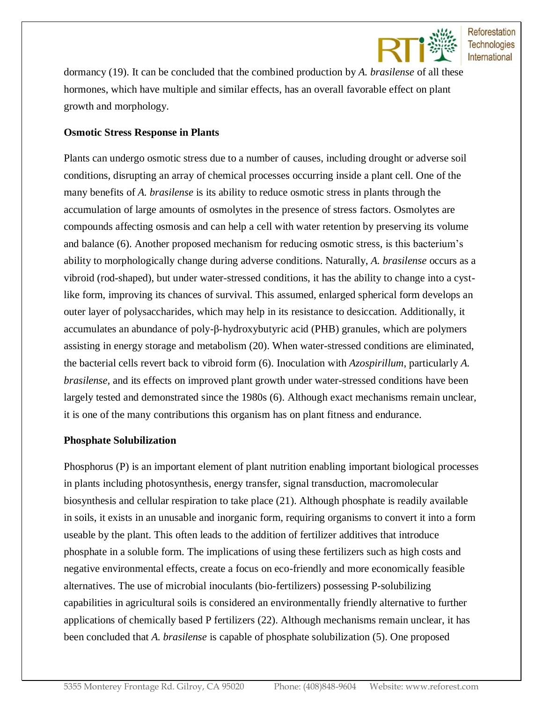

dormancy (19). It can be concluded that the combined production by *A. brasilense* of all these hormones, which have multiple and similar effects, has an overall favorable effect on plant growth and morphology.

### **Osmotic Stress Response in Plants**

Plants can undergo osmotic stress due to a number of causes, including drought or adverse soil conditions, disrupting an array of chemical processes occurring inside a plant cell. One of the many benefits of *A. brasilense* is its ability to reduce osmotic stress in plants through the accumulation of large amounts of osmolytes in the presence of stress factors. Osmolytes are compounds affecting osmosis and can help a cell with water retention by preserving its volume and balance (6). Another proposed mechanism for reducing osmotic stress, is this bacterium's ability to morphologically change during adverse conditions. Naturally, *A. brasilense* occurs as a vibroid (rod-shaped), but under water-stressed conditions, it has the ability to change into a cystlike form, improving its chances of survival. This assumed, enlarged spherical form develops an outer layer of polysaccharides, which may help in its resistance to desiccation. Additionally, it accumulates an abundance of poly-β-hydroxybutyric acid (PHB) granules, which are polymers assisting in energy storage and metabolism (20). When water-stressed conditions are eliminated, the bacterial cells revert back to vibroid form (6). Inoculation with *Azospirillum*, particularly *A. brasilense,* and its effects on improved plant growth under water-stressed conditions have been largely tested and demonstrated since the 1980s (6). Although exact mechanisms remain unclear, it is one of the many contributions this organism has on plant fitness and endurance.

#### **Phosphate Solubilization**

Phosphorus (P) is an important element of plant nutrition enabling important biological processes in plants including photosynthesis, energy transfer, signal transduction, macromolecular biosynthesis and cellular respiration to take place (21). Although phosphate is readily available in soils, it exists in an unusable and inorganic form, requiring organisms to convert it into a form useable by the plant. This often leads to the addition of fertilizer additives that introduce phosphate in a soluble form. The implications of using these fertilizers such as high costs and negative environmental effects, create a focus on eco-friendly and more economically feasible alternatives. The use of microbial inoculants (bio-fertilizers) possessing P-solubilizing capabilities in agricultural soils is considered an environmentally friendly alternative to further applications of chemically based P fertilizers (22). Although mechanisms remain unclear, it has been concluded that *A. brasilense* is capable of phosphate solubilization (5). One proposed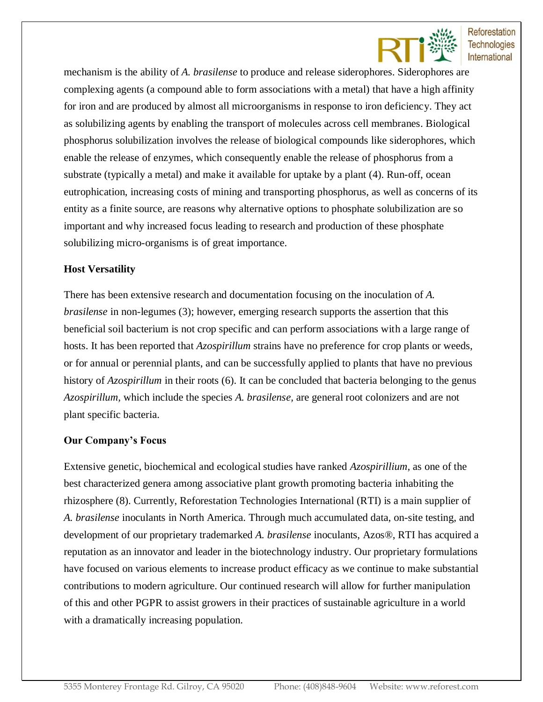

mechanism is the ability of *A. brasilense* to produce and release siderophores. Siderophores are complexing agents (a compound able to form associations with a metal) that have a high affinity for iron and are produced by almost all microorganisms in response to iron deficiency. They act as solubilizing agents by enabling the transport of molecules across cell membranes. Biological phosphorus solubilization involves the release of biological compounds like siderophores, which enable the release of enzymes, which consequently enable the release of phosphorus from a substrate (typically a metal) and make it available for uptake by a plant (4). Run-off, ocean eutrophication, increasing costs of mining and transporting phosphorus, as well as concerns of its entity as a finite source, are reasons why alternative options to phosphate solubilization are so important and why increased focus leading to research and production of these phosphate solubilizing micro-organisms is of great importance.

## **Host Versatility**

There has been extensive research and documentation focusing on the inoculation of *A. brasilense* in non-legumes (3); however, emerging research supports the assertion that this beneficial soil bacterium is not crop specific and can perform associations with a large range of hosts. It has been reported that *Azospirillum* strains have no preference for crop plants or weeds, or for annual or perennial plants, and can be successfully applied to plants that have no previous history of *Azospirillum* in their roots (6). It can be concluded that bacteria belonging to the genus *Azospirillum,* which include the species *A. brasilense,* are general root colonizers and are not plant specific bacteria.

## **Our Company's Focus**

Extensive genetic, biochemical and ecological studies have ranked *Azospirillium*, as one of the best characterized genera among associative plant growth promoting bacteria inhabiting the rhizosphere (8). Currently, Reforestation Technologies International (RTI) is a main supplier of *A. brasilense* inoculants in North America. Through much accumulated data, on-site testing, and development of our proprietary trademarked *A. brasilense* inoculants, Azos®, RTI has acquired a reputation as an innovator and leader in the biotechnology industry. Our proprietary formulations have focused on various elements to increase product efficacy as we continue to make substantial contributions to modern agriculture. Our continued research will allow for further manipulation of this and other PGPR to assist growers in their practices of sustainable agriculture in a world with a dramatically increasing population.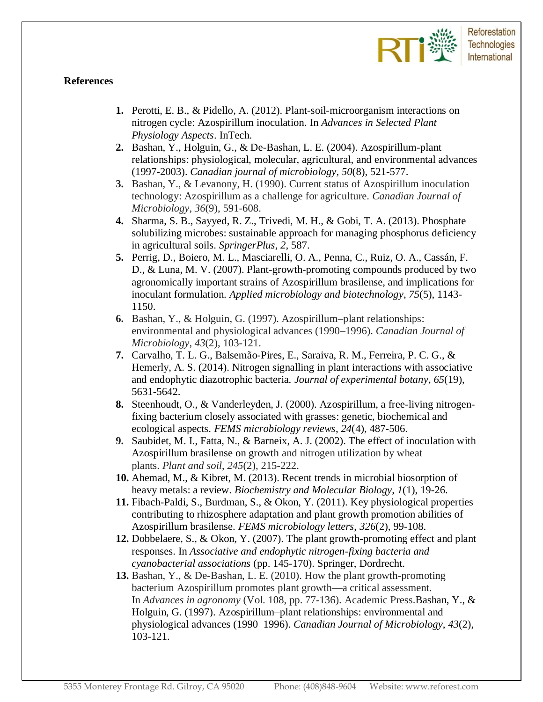

## **References**

- **1.** Perotti, E. B., & Pidello, A. (2012). Plant-soil-microorganism interactions on nitrogen cycle: Azospirillum inoculation. In *Advances in Selected Plant Physiology Aspects*. InTech.
- **2.** Bashan, Y., Holguin, G., & De-Bashan, L. E. (2004). Azospirillum-plant relationships: physiological, molecular, agricultural, and environmental advances (1997-2003). *Canadian journal of microbiology*, *50*(8), 521-577.
- **3.** Bashan, Y., & Levanony, H. (1990). Current status of Azospirillum inoculation technology: Azospirillum as a challenge for agriculture. *Canadian Journal of Microbiology*, *36*(9), 591-608.
- **4.** Sharma, S. B., Sayyed, R. Z., Trivedi, M. H., & Gobi, T. A. (2013). Phosphate solubilizing microbes: sustainable approach for managing phosphorus deficiency in agricultural soils. *SpringerPlus*, *2*, 587.
- **5.** Perrig, D., Boiero, M. L., Masciarelli, O. A., Penna, C., Ruiz, O. A., Cassán, F. D., & Luna, M. V. (2007). Plant-growth-promoting compounds produced by two agronomically important strains of Azospirillum brasilense, and implications for inoculant formulation. *Applied microbiology and biotechnology*, *75*(5), 1143- 1150.
- **6.** Bashan, Y., & Holguin, G. (1997). Azospirillum–plant relationships: environmental and physiological advances (1990–1996). *Canadian Journal of Microbiology*, *43*(2), 103-121.
- **7.** Carvalho, T. L. G., Balsemão-Pires, E., Saraiva, R. M., Ferreira, P. C. G., & Hemerly, A. S. (2014). Nitrogen signalling in plant interactions with associative and endophytic diazotrophic bacteria. *Journal of experimental botany*, *65*(19), 5631-5642.
- **8.** Steenhoudt, O., & Vanderleyden, J. (2000). Azospirillum, a free-living nitrogenfixing bacterium closely associated with grasses: genetic, biochemical and ecological aspects. *FEMS microbiology reviews*, *24*(4), 487-506.
- **9.** Saubidet, M. I., Fatta, N., & Barneix, A. J. (2002). The effect of inoculation with Azospirillum brasilense on growth and nitrogen utilization by wheat plants. *Plant and soil*, *245*(2), 215-222.
- **10.** Ahemad, M., & Kibret, M. (2013). Recent trends in microbial biosorption of heavy metals: a review. *Biochemistry and Molecular Biology*, *1*(1), 19-26.
- **11.** Fibach-Paldi, S., Burdman, S., & Okon, Y. (2011). Key physiological properties contributing to rhizosphere adaptation and plant growth promotion abilities of Azospirillum brasilense. *FEMS microbiology letters*, *326*(2), 99-108.
- **12.** Dobbelaere, S., & Okon, Y. (2007). The plant growth-promoting effect and plant responses. In *Associative and endophytic nitrogen-fixing bacteria and cyanobacterial associations* (pp. 145-170). Springer, Dordrecht.
- **13.** Bashan, Y., & De-Bashan, L. E. (2010). How the plant growth-promoting bacterium Azospirillum promotes plant growth—a critical assessment. In *Advances in agronomy* (Vol. 108, pp. 77-136). Academic Press.Bashan, Y., & Holguin, G. (1997). Azospirillum–plant relationships: environmental and physiological advances (1990–1996). *Canadian Journal of Microbiology*, *43*(2), 103-121.